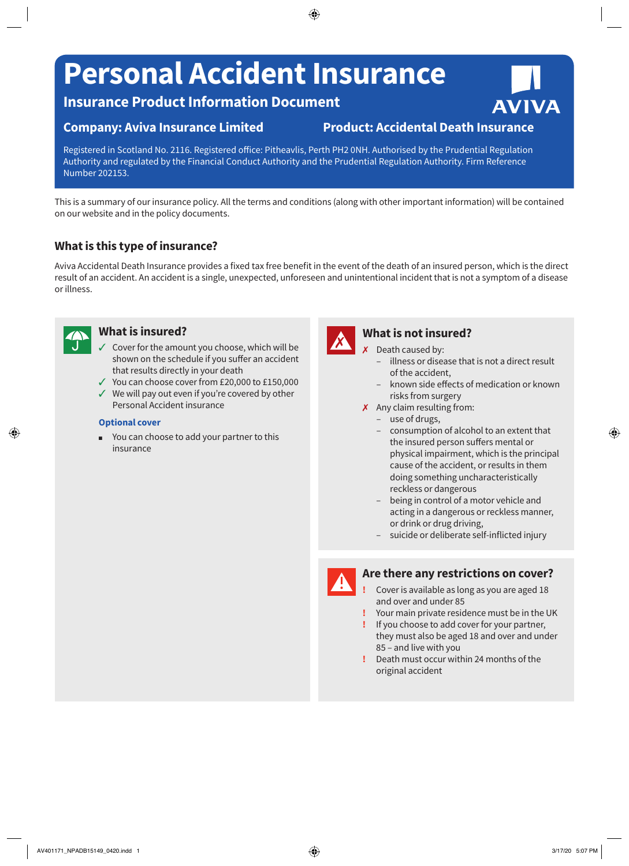# **Personal Accident Insurance**

**Insurance Product Information Document**

## **Company: Aviva Insurance Limited Product: Accidental Death Insurance**

Registered in Scotland No. 2116. Registered office: Pitheavlis, Perth PH2 0NH. Authorised by the Prudential Regulation Authority and regulated by the Financial Conduct Authority and the Prudential Regulation Authority. Firm Reference Number 202153.

This is a summary of our insurance policy. All the terms and conditions (along with other important information) will be contained on our website and in the policy documents.

# **What is this type of insurance?**

Aviva Accidental Death Insurance provides a fixed tax free benefit in the event of the death of an insured person, which is the direct result of an accident. An accident is a single, unexpected, unforeseen and unintentional incident that is not a symptom of a disease or illness.



## **What is insured?**

- $\checkmark$  Cover for the amount you choose, which will be shown on the schedule if you suffer an accident that results directly in your death
- $\checkmark$  You can choose cover from £20,000 to £150,000
- $\checkmark$  We will pay out even if you're covered by other Personal Accident insurance

#### **Optional cover**

You can choose to add your partner to this insurance



## **What is not insured?**

- $x$  Death caused by:
	- illness or disease that is not a direct result of the accident,
	- known side effects of medication or known risks from surgery
- $\chi$  Any claim resulting from:
	- use of drugs,
	- consumption of alcohol to an extent that the insured person suffers mental or physical impairment, which is the principal cause of the accident, or results in them doing something uncharacteristically reckless or dangerous
	- being in control of a motor vehicle and acting in a dangerous or reckless manner, or drink or drug driving,
	- suicide or deliberate self-inflicted injury



## **Are there any restrictions on cover?**

- **!** Cover is available as long as you are aged 18 and over and under 85
- **!** Your main private residence must be in the UK
- **!** If you choose to add cover for your partner, they must also be aged 18 and over and under 85 – and live with you
- **!** Death must occur within 24 months of the original accident